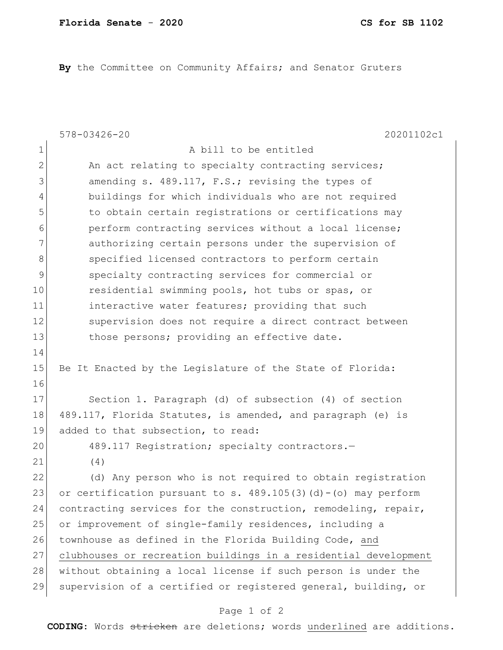**By** the Committee on Community Affairs; and Senator Gruters

|                | 20201102c1<br>578-03426-20                                        |
|----------------|-------------------------------------------------------------------|
| 1              | A bill to be entitled                                             |
| $\overline{2}$ | An act relating to specialty contracting services;                |
| 3              | amending s. 489.117, F.S.; revising the types of                  |
| 4              | buildings for which individuals who are not required              |
| 5              | to obtain certain registrations or certifications may             |
| 6              | perform contracting services without a local license;             |
| 7              | authorizing certain persons under the supervision of              |
| 8              | specified licensed contractors to perform certain                 |
| 9              | specialty contracting services for commercial or                  |
| 10             | residential swimming pools, hot tubs or spas, or                  |
| 11             | interactive water features; providing that such                   |
| 12             | supervision does not require a direct contract between            |
| 13             | those persons; providing an effective date.                       |
| 14             |                                                                   |
| 15             | Be It Enacted by the Legislature of the State of Florida:         |
| 16             |                                                                   |
| 17             | Section 1. Paragraph (d) of subsection (4) of section             |
| 18             | 489.117, Florida Statutes, is amended, and paragraph (e) is       |
| 19             | added to that subsection, to read:                                |
| 20             | 489.117 Registration; specialty contractors.-                     |
| 21             | (4)                                                               |
| 22             | (d) Any person who is not required to obtain registration         |
| 23             | or certification pursuant to s. $489.105(3)(d) - (o)$ may perform |
| 24             | contracting services for the construction, remodeling, repair,    |
| 25             | or improvement of single-family residences, including a           |
| 26             | townhouse as defined in the Florida Building Code, and            |
| 27             | clubhouses or recreation buildings in a residential development   |
| 28             | without obtaining a local license if such person is under the     |
| 29             | supervision of a certified or registered general, building, or    |
|                | Page 1 of 2                                                       |

**CODING**: Words stricken are deletions; words underlined are additions.